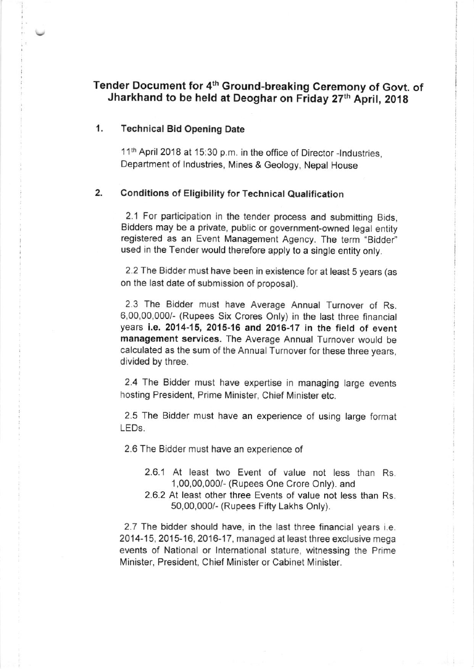# Tender Document for 4th Ground-breaking Ceremony of Govt. of Jharkhand to be held at Deoghar on Friday 27th April, 2018

### 1. Technical Bid Opening Date

11<sup>th</sup> April 2018 at 15:30 p.m. in the office of Director -Industries, Department of lndustries, Mines & Geology, Nepal House

#### 2. Conditions of Eligibility for Technical Qualification

2.1 For participation in the tender process and submitting Bids, Bidders may be a private, public or government-owned legal entity registered as an Event Management Agency. The term "Bidder" used in the Tender would therefore apply to a single entity only.

2.2 The Bidder must have been in existence for at least 5 years (as on the last date of submission of proposal).

2.3 The Bidder must have Average Annual Turnover of Rs. 6,00,00,000/- (Rupees Six Crores Only) in the tast three financial years i.e. 2014-15, 2015-16 and 2016-17 in the field of event management services. The Average Annual Turnover would be calculated as the sum of the Annual Turnover for these three years, divided by three.

2.4 The Bidder must have expertise in managing large events hosting President, Prime Minister, Chief Minister etc.

2.5 The Bidder must have an experience of using large format LEDS,

2.6 The Bidder must have an experience of

- 2.6.1 At least two Event of value not less than Rs 1,00,00,0001 (Rupees One Crore Only). and
- 2.6.2 At least other three Events of value not less than Rs 50,00,000/- (Rupees Fifty Lakhs Only).

2.7 The bidder should have, in the last three financial years i.e. 2O14-15,2O15-16,2016-17, managed at least three exclusive mega events of National or lnternational stature, witnessing the Prime Minister, President, Chief Minister or Cabinet Minister.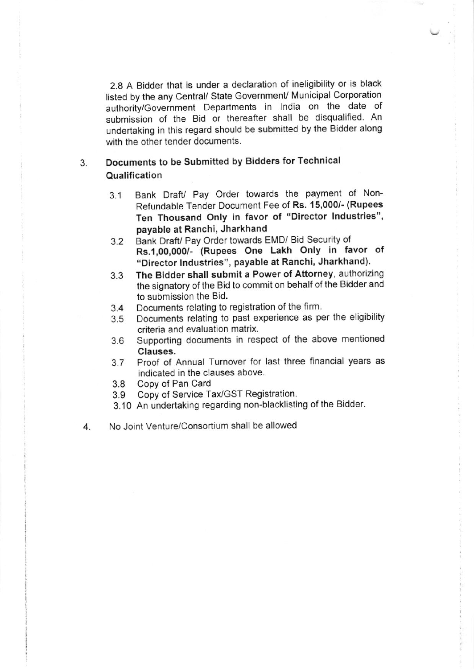2.8 A Bidder that is under a declaration of ineligibility or is black listed by the any Central/ State Government/ Municipal Corporation authority/Government Departments in lndia on the date of submission of the Bid or thereafter shall be disqualified. An undertaking in this regard should be submitted by the Bidder along with the other tender documents.

#### 3. Documents to be Submifted by Bidders for Technical Qualification

- 3.1 Bank DrafU Pay Order towards the payment of Non-Refundable Tender Document Fee of Rs. 15,000/- (Rupees Ten Thousand Only in favor of "Director lndustries", payable at Ranchi, Jharkhand
- 3.2 Bank Draft/ Pay Order towards EMD/ Bid Security of Rs.1,00,000/- (Rupees One Lakh Only in favor of "Director Industries", payable at Ranchi, Jharkhand).
- 3.3 The Bidder shall submit a Power of Attorney, authorizing the signatory of the Bid to commit on behalf of the Bidder and to submission the Bid.
- 
- 3.4 Documents relating to registration of the firm.<br>3.5 Documents relating to past experience as per-Documents relating to past experience as per the eligibility criteria and evaluation matrix
- 3.6 Supporting documents in respect of the above mentioned Clauses.
- 3.7 Proof of Annual Turnover for last three flnancial years as indicated in the clauses above.
- 3.8 Copy of Pan Card<br>3.9 Copy of Service Ta
- Copy of Service Tax/GST Registration.
- 3.10 An undertaking regarding non-blacklisting of the Bidder.
- 4. No Joint Venture/Consortium shall be allowed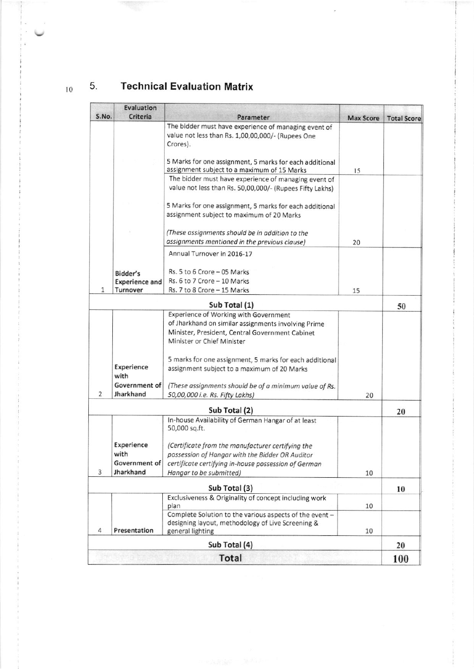$10$ 

#### $5.$ **Technical Evaluation Matrix**

不同意

|       | Evaluation            |                                                                                                                       |                  |                    |
|-------|-----------------------|-----------------------------------------------------------------------------------------------------------------------|------------------|--------------------|
| S.No. | Criteria              | Parameter                                                                                                             | <b>Max Score</b> | <b>Total Score</b> |
|       |                       | The bidder must have experience of managing event of<br>value not less than Rs. 1,00,00,000/- (Rupees One<br>Crores). |                  |                    |
|       |                       | 5 Marks for one assignment, 5 marks for each additional<br>assignment subject to a maximum of 15 Marks                | 15               |                    |
|       |                       | The bidder must have experience of managing event of<br>value not less than Rs. 50,00,000/- (Rupees Fifty Lakhs)      |                  |                    |
|       |                       | 5 Marks for one assignment, 5 marks for each additional<br>assignment subject to maximum of 20 Marks                  |                  |                    |
|       |                       | (These assignments should be in addition to the<br>assignments mentioned in the previous clause)                      | 20               |                    |
|       |                       | Annual Turnover in 2016-17                                                                                            |                  |                    |
|       | Bidder's              | Rs. 5 to 6 Crore - 05 Marks                                                                                           |                  |                    |
|       | <b>Experience and</b> | Rs. 6 to 7 Crore - 10 Marks                                                                                           |                  |                    |
| 1     | Turnover              | Rs. 7 to 8 Crore - 15 Marks                                                                                           | 15               |                    |
|       |                       | Sub Total (1)                                                                                                         |                  | 50                 |
|       |                       | Experience of Working with Government                                                                                 |                  |                    |
|       |                       | of Jharkhand on similar assignments involving Prime                                                                   |                  |                    |
|       |                       | Minister, President, Central Government Cabinet                                                                       |                  |                    |
|       |                       | Minister or Chief Minister                                                                                            |                  |                    |
|       |                       | 5 marks for one assignment, 5 marks for each additional                                                               |                  |                    |
|       | Experience<br>with    | assignment subject to a maximum of 20 Marks                                                                           |                  |                    |
|       | Government of         | (These assignments should be of a minimum value of Rs.                                                                |                  |                    |
| 2     | Jharkhand             | 50,00,000 i.e. Rs. Fifty Lakhs)                                                                                       | 20               |                    |
|       |                       | Sub Total (2)                                                                                                         |                  | 20                 |
|       |                       | In-house Availability of German Hangar of at least<br>50,000 sq.ft.                                                   |                  |                    |
|       | Experience            | (Certificate from the manufacturer certifying the                                                                     |                  |                    |
|       | with                  | possession of Hangar with the Bidder OR Auditor                                                                       |                  |                    |
|       | Government of         | certificate certifying in-house possession of German                                                                  |                  |                    |
| 3     | Jharkhand             | Hangar to be submitted)                                                                                               | 10               |                    |
|       |                       | Sub Total (3)                                                                                                         |                  | 10                 |
|       |                       | Exclusiveness & Originality of concept including work<br>plan                                                         | 10               |                    |
|       |                       | Complete Solution to the various aspects of the event -<br>designing layout, methodology of Live Screening &          |                  |                    |
| 4     | Presentation          | general lighting                                                                                                      | 10               |                    |
|       |                       | Sub Total (4)                                                                                                         |                  | 20                 |
|       |                       | <b>Total</b>                                                                                                          |                  | 100                |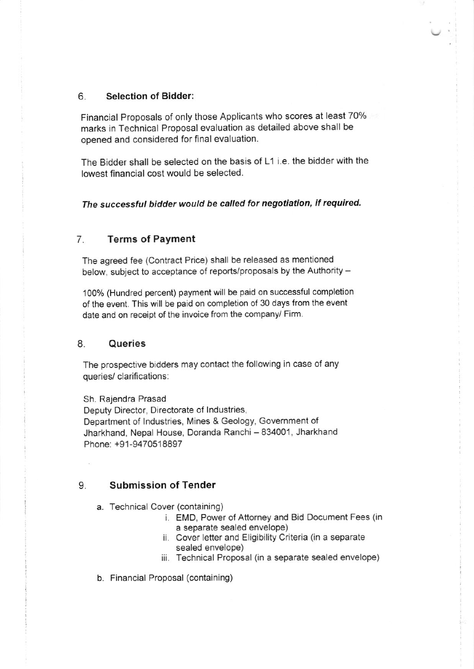#### 6. Selection of Bidder:

Financial Proposals of only those Applicants who scores at least 70% marks in Technical Proposal evaluation as detailed above shall be opened and considered for final evaluation.

The Bidder shall be selected on the basis of L1 i.e. the bidder with the lowest financial cost would be selected.

The successful bidder would be called for negotiation, if required.

#### 7. Terms of Payment

The agreed fee (Contract Price) shall be released as mentioned below, subject to acceptance of reports/proposals by the Authority -

1OO% (Hundred percent) payment will be paid on successful completion of the event. This will be paid on completion of 30 days from the event date and on receipt of the invoice from the company/ Firm.

#### 8. Queries

The prospective bidders may contact the following in case of any queries/ clarifications:

Sh. Rajendra Prasad Deputy Director, Directorate of lndustries, Department of Industries, Mines & Geology, Government of Jharkhand, Nepal House, Doranda Ranchi - 834001, Jharkhand Phone: +91-9470518897

#### 9. Submission of Tender

- a. Technical Cover (containing)
	- i. EMD, Power of Attorney and Bid Document Fees (in a separate sealed envelope)
	- ii. Cover letter and Eligibility Criteria (in a separate sealed envelope)
	- iii. Technical Proposal (in a separate sealed envelope)

b. Financial Proposal (containing)